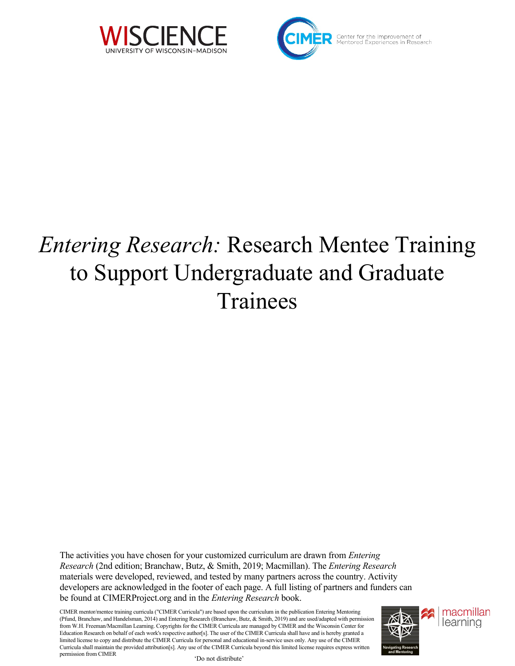



Center for the Improvement of<br>Mentored Experiences in Research

# *Entering Research:* Research Mentee Training to Support Undergraduate and Graduate Trainees

The activities you have chosen for your customized curriculum are drawn from *Entering Research* (2nd edition; Branchaw, Butz, & Smith, 2019; Macmillan). The *Entering Research* materials were developed, reviewed, and tested by many partners across the country. Activity developers are acknowledged in the footer of each page. A full listing of partners and funders can be found at CIMERProject.org and in the *Entering Research* book.

CIMER mentor/mentee training curricula ("CIMER Curricula") are based upon the curriculum in the publication Entering Mentoring (Pfund, Branchaw, and Handelsman, 2014) and Entering Research (Branchaw, Butz, & Smith, 2019) and are used/adapted with permission from W.H. Freeman/Macmillan Learning. Copyrights for the CIMER Curricula are managed by CIMER and the Wisconsin Center for Education Research on behalf of each work's respective author[s]. The user of the CIMER Curricula shall have and is hereby granted a limited license to copy and distribute the CIMER Curricula for personal and educational in-service uses only. Any use of the CIMER Curricula shall maintain the provided attribution[s]. Any use of the CIMER Curricula beyond this limited license requires express written permission from CIMER



'Do not distribute'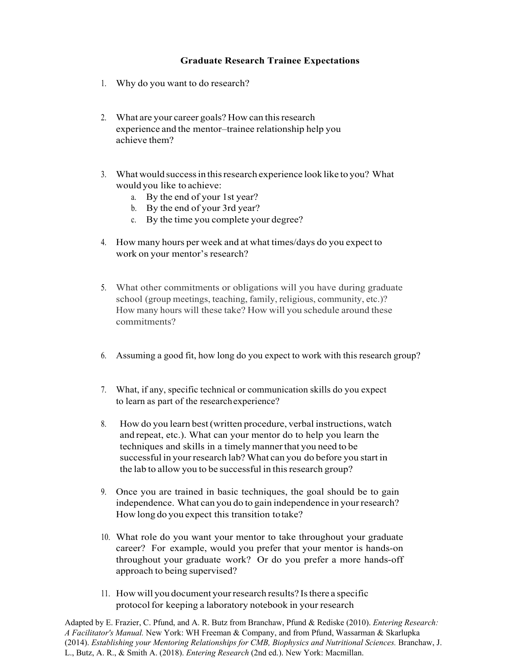# **Graduate Research Trainee Expectations**

- *1. Why do you want to do research?*
- *2. What are your career goals? How can this research experience and the mentor–trainee relationship help you achieve them?*
- *3. What would success in this research experience look like to you? What would you like to achieve:*
	- *a. By the end of your 1st year?*
	- *b. By the end of your 3rd year?*
	- *c. By the time you complete your degree?*
- *4. How many hours per week and at what times/days do you expect to work on your mentor's research?*
- *5. What other commitments or obligations will you have during graduate school (group meetings, teaching, family, religious, community, etc.)? How many hours will these take? How will you schedule around these commitments?*
- *6. Assuming a good fit, how long do you expect to work with this research group?*
- *7. What, if any, specific technical or communication skills do you expect to learn as part of the research experience?*
- *8. How do you learn best (written procedure, verbal instructions, watch and repeat, etc.). What can your mentor do to help you learn the techniques and skills in a timely manner that you need to be successful in your research lab? What can you do before you start in the lab to allow you to be successful in this research group?*
- *9. Once you are trained in basic techniques, the goal should be to gain independence. What can you do to gain independence in your research? How long do you expect this transition to take?*
- *10. What role do you want your mentor to take throughout your graduate career? For example, would you prefer that your mentor is hands-on throughout your graduate work? Or do you prefer a more hands-off approach to being supervised?*
- *11. How will you document your research results? Is there a specific protocol for keeping a laboratory notebook in your research*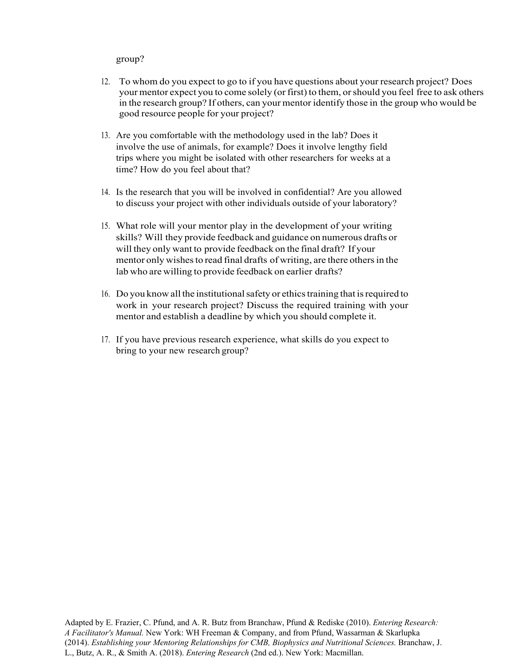#### *group?*

- *12. To whom do you expect to go to if you have questions about your research project? Does your mentor expect you to come solely (or first) to them, or should you feel free to ask others in the research group? If others, can your mentor identify those in the group who would be good resource people for your project?*
- *13. Are you comfortable with the methodology used in the lab? Does it involve the use of animals, for example? Does it involve lengthy field trips where you might be isolated with other researchers for weeks at a time? How do you feel about that?*
- *14. Is the research that you will be involved in confidential? Are you allowed to discuss your project with other individuals outside of your laboratory?*
- *15. What role will your mentor play in the development of your writing skills? Will they provide feedback and guidance on numerous drafts or will they only want to provide feedback on the final draft? If your mentor only wishes to read final drafts of writing, are there others in the lab who are willing to provide feedback on earlier drafts?*
- *16. Do you know all the institutional safety or ethics training that is required to work in your research project? Discuss the required training with your mentor and establish a deadline by which you should complete it.*
- *17. If you have previous research experience, what skills do you expect to bring to your new research group?*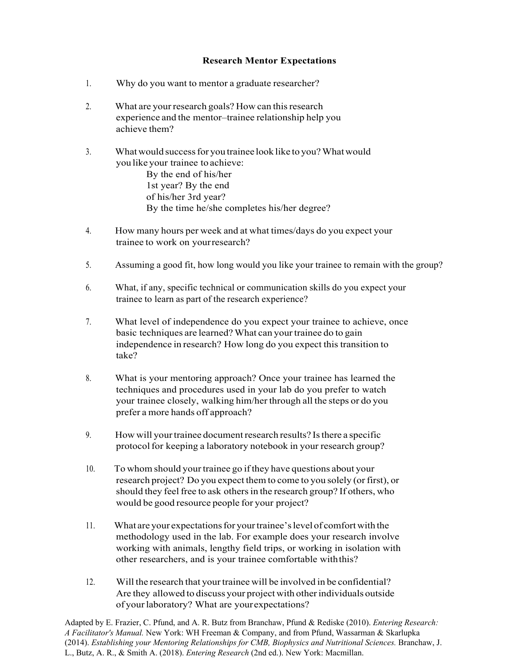## **Research Mentor Expectations**

- *1. Why do you want to mentor a graduate researcher?*
- *2. What are your research goals? How can this research experience and the mentor–trainee relationship help you achieve them?*
- *3. What would success for you trainee look like to you? What would you like your trainee to achieve: By the end of his/her 1st year? By the end of his/her 3rd year? By the time he/she completes his/her degree?*
- *4. How many hours per week and at what times/days do you expect your trainee to work on your research?*
- *5. Assuming a good fit, how long would you like your trainee to remain with the group?*
- *6. What, if any, specific technical or communication skills do you expect your trainee to learn as part of the research experience?*
- *7. What level of independence do you expect your trainee to achieve, once basic techniques are learned? What can your trainee do to gain independence in research? How long do you expect this transition to take?*
- *8. What is your mentoring approach? Once your trainee has learned the techniques and procedures used in your lab do you prefer to watch your trainee closely, walking him/her through all the steps or do you prefer a more hands off approach?*
- *9. How will your trainee document research results? Is there a specific protocol for keeping a laboratory notebook in your research group?*
- *10. To whom should your trainee go if they have questions about your research project? Do you expect them to come to you solely (or first), or should they feel free to ask others in the research group? If others, who would be good resource people for your project?*
- *11. What are your expectations for your trainee's level of comfort with the methodology used in the lab. For example does your research involve working with animals, lengthy field trips, or working in isolation with other researchers, and is your trainee comfortable with this?*
- *12. Will the research that your trainee will be involved in be confidential? Are they allowed to discuss your project with other individuals outside of your laboratory? What are your expectations?*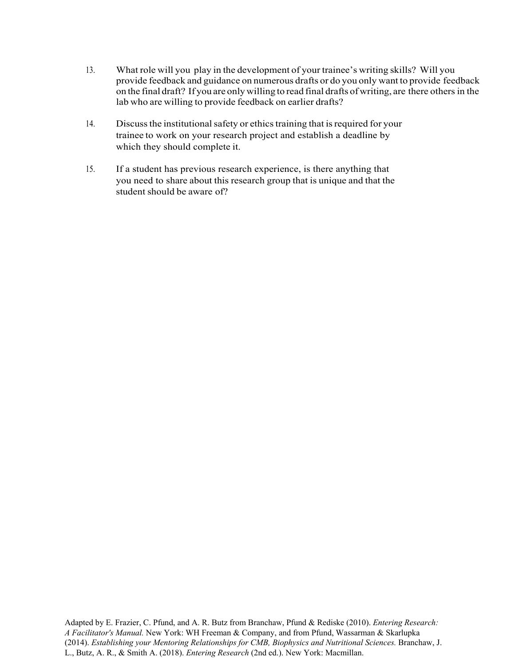- *13. What role will you play in the development of your trainee's writing skills? Will you provide feedback and guidance on numerous drafts or do you only want to provide feedback on the final draft? If you are only willing to read final drafts of writing, are there others in the lab who are willing to provide feedback on earlier drafts?*
- *14. Discuss the institutional safety or ethics training that is required for your trainee to work on your research project and establish a deadline by which they should complete it.*
- *15. If a student has previous research experience, is there anything that you need to share about this research group that is unique and that the student should be aware of?*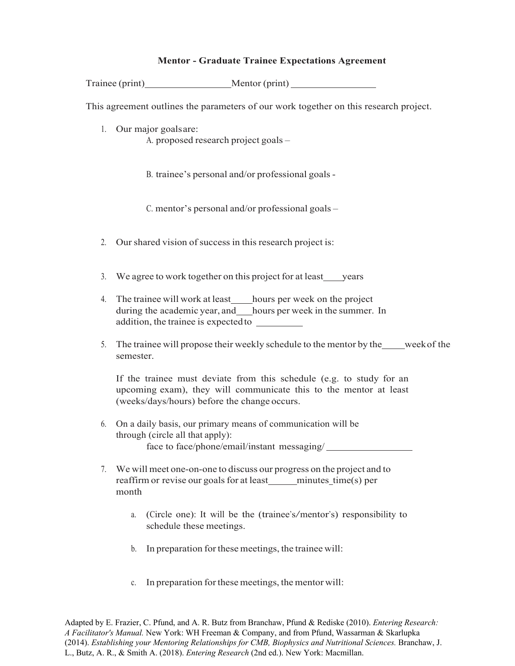## **Mentor - Graduate Trainee Expectations Agreement**

*Trainee (print) Mentor (print)* 

*This agreement outlines the parameters of our work together on this research project.*

- *1. Our major goals are:*
	- *A. proposed research project goals –*
	- *B. trainee's personal and/or professional goals -*

*C. mentor's personal and/or professional goals –*

- *2. Our shared vision of success in this research project is:*
- 3. We agree to work together on this project for at least years
- *4. The trainee will work at least hours per week on the project during the academic year, and hours per week in the summer. In addition, the trainee is expected to*
- *5. The trainee will propose their weekly schedule to the mentor by the week of the semester.*

*If the trainee must deviate from this schedule (e.g. to study for an upcoming exam), they will communicate this to the mentor at least (weeks/days/hours) before the change occurs.*

- *6. On a daily basis, our primary means of communication will be through (circle all that apply): face to face/phone/email/instant messaging/*
- *7. We will meet one-on-one to discuss our progress on the project and to reaffirm or revise our goals for at least* minutes\_time(s) per *month*
	- *a. (Circle one): It will be the (trainee's/mentor's) responsibility to schedule these meetings.*
	- *b. In preparation for these meetings, the trainee will:*
	- *c. In preparation for these meetings, the mentor will:*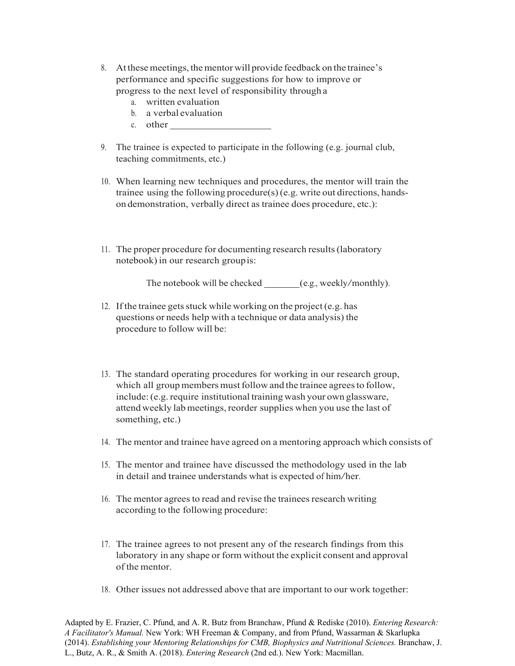- *8. At these meetings, the mentor will provide feedback on the trainee's performance and specific suggestions for how to improve or progress to the next level of responsibility through a*
	- *a. written evaluation*
	- *b. a verbal evaluation*
	- *c. other*
- *9. The trainee is expected to participate in the following (e.g. journal club, teaching commitments, etc.)*
- *10. When learning new techniques and procedures, the mentor will train the trainee using the following procedure(s) (e.g. write out directions, handson demonstration, verbally direct as trainee does procedure, etc.):*
- *11. The proper procedure for documenting research results (laboratory notebook) in our research group is:*

*The notebook will be checked (e.g., weekly/monthly).*

- *12. If the trainee gets stuck while working on the project (e.g. has questions or needs help with a technique or data analysis) the procedure to follow will be:*
- *13. The standard operating procedures for working in our research group, which all group members must follow and the trainee agrees to follow, include: (e.g. require institutional training wash your own glassware, attend weekly lab meetings, reorder supplies when you use the last of something, etc.)*
- *14. The mentor and trainee have agreed on a mentoring approach which consists of*
- *15. The mentor and trainee have discussed the methodology used in the lab in detail and trainee understands what is expected of him/her.*
- *16. The mentor agrees to read and revise the trainees research writing according to the following procedure:*
- *17. The trainee agrees to not present any of the research findings from this laboratory in any shape or form without the explicit consent and approval of the mentor.*
- *18. Other issues not addressed above that are important to our work together:*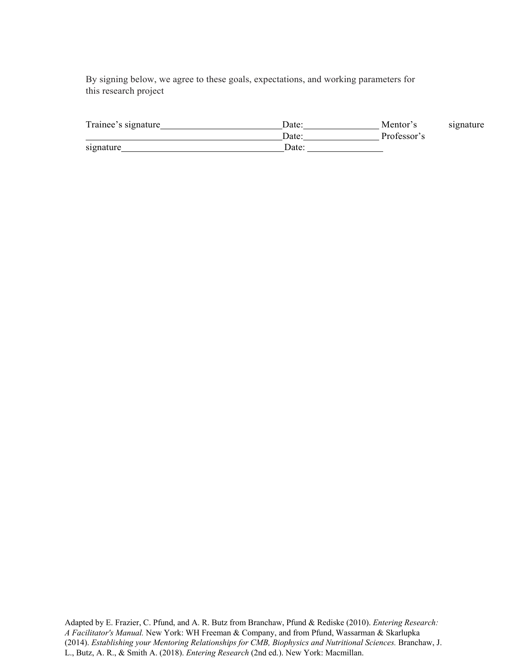*By signing below, we agree to these goals, expectations, and working parameters for this research project*

| Trainee's signature_ | Date: | Mentor's    | signature |
|----------------------|-------|-------------|-----------|
|                      | Date: | Professor's |           |
| signature            | Date: |             |           |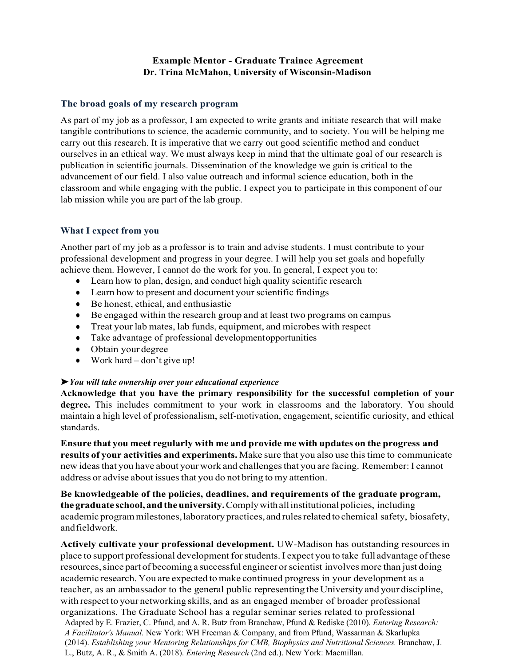# **Example Mentor - Graduate Trainee Agreement Dr. Trina McMahon, University of Wisconsin-Madison**

## **The broad goals of my research program**

*As part of my job as a professor, I am expected to write grants and initiate research that will make tangible contributions to science, the academic community, and to society. You will be helping me carry out this research. It is imperative that we carry out good scientific method and conduct ourselves in an ethical way. We must always keep in mind that the ultimate goal of our research is publication in scientific journals. Dissemination of the knowledge we gain is critical to the advancement of our field. I also value outreach and informal science education, both in the classroom and while engaging with the public. I expect you to participate in this component of our lab mission while you are part of the lab group.*

## **What I expect from you**

*Another part of my job as a professor is to train and advise students. I must contribute to your professional development and progress in your degree. I will help you set goals and hopefully achieve them. However, I cannot do the work for you. In general, I expect you to:*

- *Learn how to plan, design, and conduct high quality scientific research*
- *Learn how to present and document your scientific findings*
- *Be honest, ethical, and enthusiastic*
- *Be engaged within the research group and at least two programs on campus*
- *Treat your lab mates, lab funds, equipment, and microbes with respect*
- *Take advantage of professional development opportunities*
- *Obtain your degree*
- *Work hard don't give up!*

## ➤*You will take ownership over your educational experience*

**Acknowledge that you have the primary responsibility for the successful completion of your degree.** *This includes commitment to your work in classrooms and the laboratory. You should maintain a high level of professionalism, self-motivation, engagement, scientific curiosity, and ethical standards.*

**Ensure that you meet regularly with me and provide me with updates on the progress and results of your activities and experiments.** *Make sure that you also use this time to communicate new ideas that you have about your work and challenges that you are facing. Remember: I cannot address or advise about issues that you do not bring to my attention.*

**Be knowledgeable of the policies, deadlines, and requirements of the graduate program, the graduate school, and the university.** *Comply with all institutional policies, including academic program milestones, laboratory practices, and rules related to chemical safety, biosafety, and fieldwork.*

**Actively cultivate your professional development.** *UW-Madison has outstanding resources in place to support professional development for students. I expect you to take full advantage of these resources, since part of becoming a successful engineer or scientist involves more than just doing academic research. You are expected to make continued progress in your development as a teacher, as an ambassador to the general public representing the University and your discipline,*  with respect to your networking skills, and as an engaged member of broader professional *organizations. The Graduate School has a regular seminar series related to professional*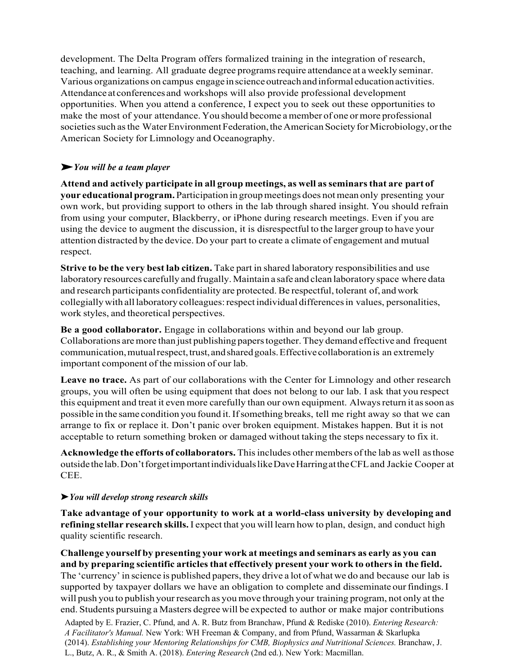*development. The Delta Program offers formalized training in the integration of research, teaching, and learning. All graduate degree programs require attendance at a weekly seminar. Various organizations on campus engage in science outreach and informal education activities. Attendance at conferences and workshops will also provide professional development opportunities. When you attend a conference, I expect you to seek out these opportunities to make the most of your attendance. You should become a member of one or more professional societies such as the Water Environment Federation, the American Society for Microbiology, or the American Society for Limnology and Oceanography.*

# ➤*You will be a team player*

**Attend and actively participate in all group meetings, as well as seminars that are part of your educational program.** *Participation in group meetings does not mean only presenting your own work, but providing support to others in the lab through shared insight. You should refrain from using your computer, Blackberry, or iPhone during research meetings. Even if you are using the device to augment the discussion, it is disrespectful to the larger group to have your attention distracted by the device. Do your part to create a climate of engagement and mutual respect.*

**Strive to be the very best lab citizen.** *Take part in shared laboratory responsibilities and use laboratory resources carefully and frugally. Maintain a safe and clean laboratory space where data and research participants confidentiality are protected. Be respectful, tolerant of, and work collegially with all laboratory colleagues: respect individual differences in values, personalities, work styles, and theoretical perspectives.*

**Be a good collaborator.** *Engage in collaborations within and beyond our lab group. Collaborations are more than just publishing papers together. They demand effective and frequent communication, mutual respect, trust, and shared goals. Effective collaboration is an extremely important component of the mission of our lab.*

**Leave no trace.** *As part of our collaborations with the Center for Limnology and other research groups, you will often be using equipment that does not belong to our lab. I ask that you respect this equipment and treat it even more carefully than our own equipment. Always return it as soon as possible in the same condition you found it. If something breaks, tell me right away so that we can arrange to fix or replace it. Don't panic over broken equipment. Mistakes happen. But it is not acceptable to return something broken or damaged without taking the steps necessary to fix it.*

**Acknowledge the efforts of collaborators.** *This includes other members of the lab as well as those outside the lab. Don't forget important individuals like Dave Harring at the CFL and Jackie Cooper at CEE.*

# ➤*You will develop strong research skills*

**Take advantage of your opportunity to work at a world-class university by developing and refining stellar research skills.** *I expect that you will learn how to plan, design, and conduct high quality scientific research.*

**Challenge yourself by presenting your work at meetings and seminars as early as you can and by preparing scientific articles that effectively present your work to others in the field.**  *The 'currency' in science is published papers, they drive a lot of what we do and because our lab is supported by taxpayer dollars we have an obligation to complete and disseminate our findings. I will push you to publish your research as you move through your training program, not only at the end. Students pursuing a Masters degree will be expected to author or make major contributions*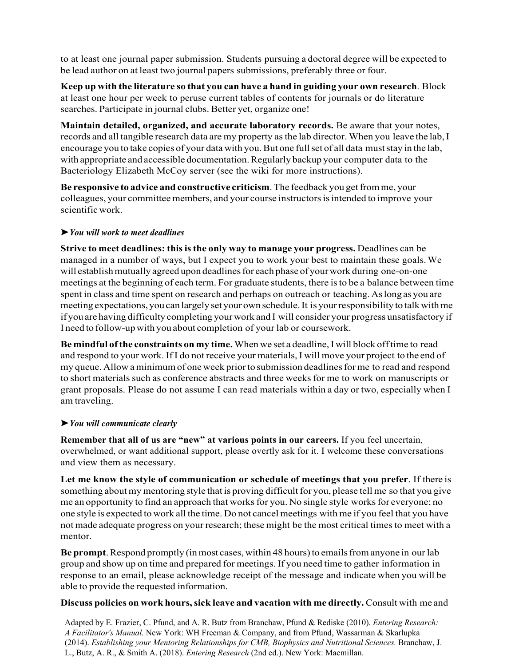*to at least one journal paper submission. Students pursuing a doctoral degree will be expected to be lead author on at least two journal papers submissions, preferably three or four.*

**Keep up with the literature so that you can have a hand in guiding your own research***. Block at least one hour per week to peruse current tables of contents for journals or do literature searches. Participate in journal clubs. Better yet, organize one!*

**Maintain detailed, organized, and accurate laboratory records.** *Be aware that your notes, records and all tangible research data are my property as the lab director. When you leave the lab, I encourage you to take copies of your data with you. But one full set of all data must stay in the lab, with appropriate and accessible documentation. Regularly backup your computer data to the Bacteriology Elizabeth McCoy server (see the wiki for more instructions).*

**Be responsive to advice and constructive criticism***. The feedback you get from me, your colleagues, your committee members, and your course instructors is intended to improve your scientific work.*

## ➤*You will work to meet deadlines*

**Strive to meet deadlines: this is the only way to manage your progress.** *Deadlines can be managed in a number of ways, but I expect you to work your best to maintain these goals. We will establish mutually agreed upon deadlines for each phase of your work during one-on-one meetings at the beginning of each term. For graduate students, there is to be a balance between time spent in class and time spent on research and perhaps on outreach or teaching. As long as you are meeting expectations, you can largely set your own schedule. It is your responsibility to talk with me if you are having difficulty completing your work and I will consider your progress unsatisfactory if I need to follow-up with you about completion of your lab or coursework.*

**Be mindful of the constraints on my time.** *When we set a deadline, I will block off time to read and respond to your work. If I do not receive your materials, I will move your project to the end of my queue. Allow a minimum of one week prior to submission deadlines for me to read and respond to short materials such as conference abstracts and three weeks for me to work on manuscripts or grant proposals. Please do not assume I can read materials within a day or two, especially when I am traveling.*

# ➤*You will communicate clearly*

**Remember that all of us are "new" at various points in our careers.** *If you feel uncertain, overwhelmed, or want additional support, please overtly ask for it. I welcome these conversations and view them as necessary.*

**Let me know the style of communication or schedule of meetings that you prefer***. If there is something about my mentoring style that is proving difficult for you, please tell me so that you give me an opportunity to find an approach that works for you. No single style works for everyone; no one style is expected to work all the time. Do not cancel meetings with me if you feel that you have not made adequate progress on your research; these might be the most critical times to meet with a mentor.*

**Be prompt***. Respond promptly (in most cases, within 48 hours) to emails from anyone in our lab group and show up on time and prepared for meetings. If you need time to gather information in response to an email, please acknowledge receipt of the message and indicate when you will be able to provide the requested information.*

# **Discuss policies on work hours, sick leave and vacation with me directly.** *Consult with me and*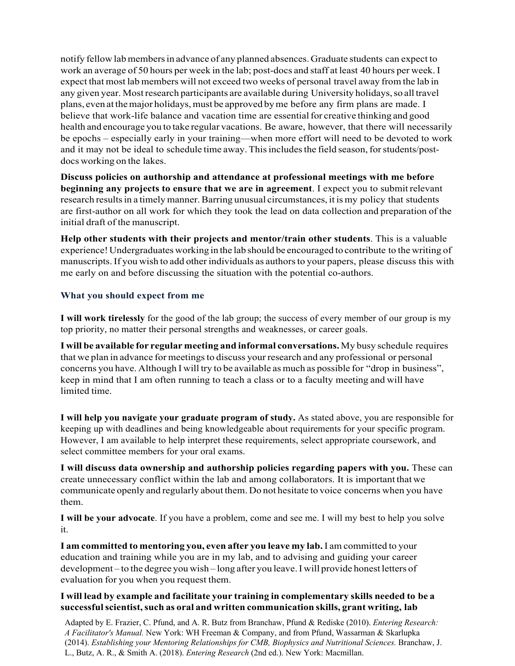*notify fellow lab members in advance of any planned absences. Graduate students can expect to work an average of 50 hours per week in the lab; post-docs and staff at least 40 hours per week. I expect that most lab members will not exceed two weeks of personal travel away from the lab in any given year. Most research participants are available during University holidays, so all travel plans, even at the major holidays, must be approved by me before any firm plans are made. I believe that work-life balance and vacation time are essential for creative thinking and good health and encourage you to take regular vacations. Be aware, however, that there will necessarily be epochs – especially early in your training—when more effort will need to be devoted to work and it may not be ideal to schedule time away. This includes the field season, for students/postdocs working on the lakes.*

**Discuss policies on authorship and attendance at professional meetings with me before beginning any projects to ensure that we are in agreement***. I expect you to submit relevant research results in a timely manner. Barring unusual circumstances, it is my policy that students are first-author on all work for which they took the lead on data collection and preparation of the initial draft of the manuscript.*

**Help other students with their projects and mentor/train other students***. This is a valuable experience! Undergraduates working in the lab should be encouraged to contribute to the writing of manuscripts. If you wish to add other individuals as authors to your papers, please discuss this with me early on and before discussing the situation with the potential co-authors.*

# **What you should expect from me**

**I will work tirelessly** *for the good of the lab group; the success of every member of our group is my top priority, no matter their personal strengths and weaknesses, or career goals.*

**I will be available for regular meeting and informal conversations.** *My busy schedule requires that we plan in advance for meetings to discuss your research and any professional or personal concerns you have. Although I will try to be available as much as possible for "drop in business", keep in mind that I am often running to teach a class or to a faculty meeting and will have limited time.*

**I will help you navigate your graduate program of study.** *As stated above, you are responsible for keeping up with deadlines and being knowledgeable about requirements for your specific program. However, I am available to help interpret these requirements, select appropriate coursework, and select committee members for your oral exams.*

**I will discuss data ownership and authorship policies regarding papers with you.** *These can create unnecessary conflict within the lab and among collaborators. It is important that we communicate openly and regularly about them. Do not hesitate to voice concerns when you have them.*

**I will be your advocate***. If you have a problem, come and see me. I will my best to help you solve it.*

**I am committed to mentoring you, even after you leave my lab.** *I am committed to your education and training while you are in my lab, and to advising and guiding your career development – to the degree you wish – long after you leave. I will provide honest letters of evaluation for you when you request them.*

# **I will lead by example and facilitate your training in complementary skills needed to be a successful scientist, such as oral and written communication skills, grant writing, lab**